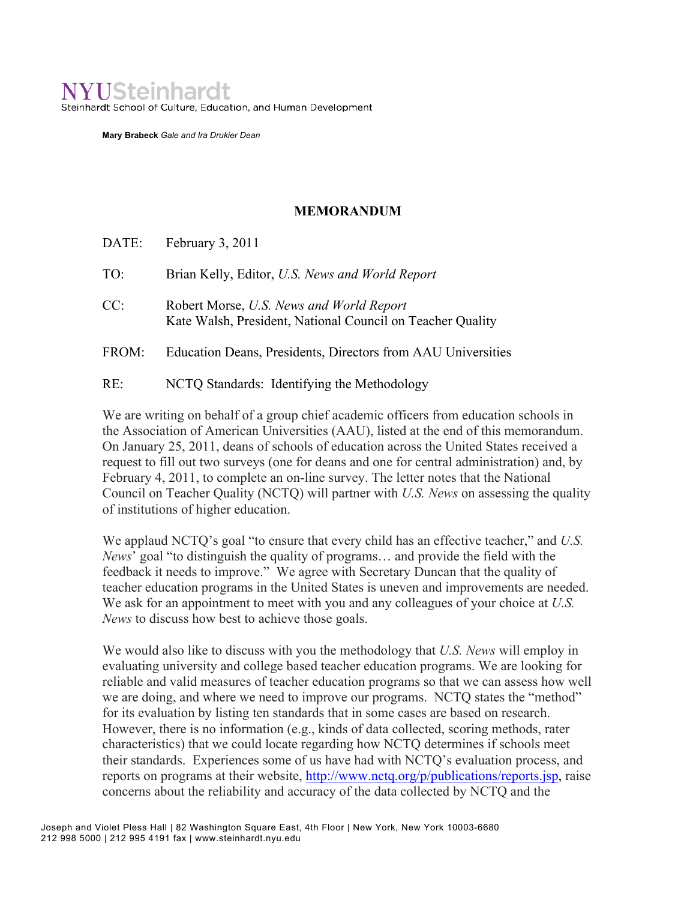## **NYUSteinhardt**

Steinhardt School of Culture, Education, and Human Development

**Mary Brabeck** *Gale and Ira Drukier Dean*

## **MEMORANDUM**

DATE: February 3, 2011 TO: Brian Kelly, Editor, *U.S. News and World Report* CC: Robert Morse, *U.S. News and World Report* Kate Walsh, President, National Council on Teacher Quality FROM: Education Deans, Presidents, Directors from AAU Universities RE: NCTQ Standards: Identifying the Methodology

We are writing on behalf of a group chief academic officers from education schools in the Association of American Universities (AAU), listed at the end of this memorandum. On January 25, 2011, deans of schools of education across the United States received a request to fill out two surveys (one for deans and one for central administration) and, by February 4, 2011, to complete an on-line survey. The letter notes that the National Council on Teacher Quality (NCTQ) will partner with *U.S. News* on assessing the quality of institutions of higher education.

We applaud NCTQ's goal "to ensure that every child has an effective teacher," and *U.S. News*' goal "to distinguish the quality of programs… and provide the field with the feedback it needs to improve." We agree with Secretary Duncan that the quality of teacher education programs in the United States is uneven and improvements are needed. We ask for an appointment to meet with you and any colleagues of your choice at *U.S. News* to discuss how best to achieve those goals.

We would also like to discuss with you the methodology that *U.S. News* will employ in evaluating university and college based teacher education programs. We are looking for reliable and valid measures of teacher education programs so that we can assess how well we are doing, and where we need to improve our programs. NCTQ states the "method" for its evaluation by listing ten standards that in some cases are based on research. However, there is no information (e.g., kinds of data collected, scoring methods, rater characteristics) that we could locate regarding how NCTQ determines if schools meet their standards. Experiences some of us have had with NCTQ's evaluation process, and reports on programs at their website, http://www.nctq.org/p/publications/reports.jsp, raise concerns about the reliability and accuracy of the data collected by NCTQ and the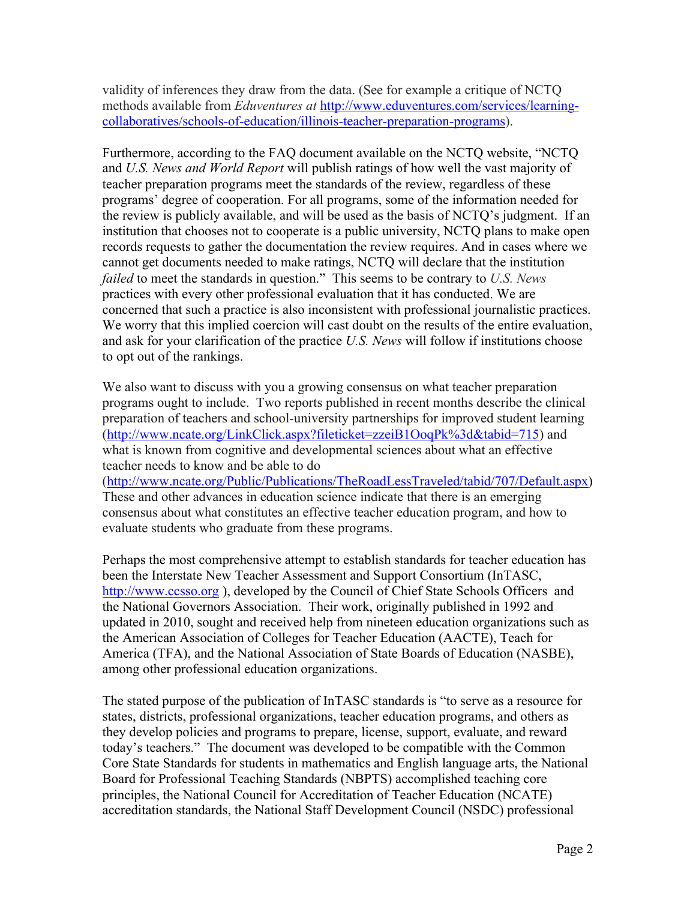validity of inferences they draw from the data. (See for example a critique of NCTQ methods available from *Eduventures at* http://www.eduventures.com/services/learningcollaboratives/schools-of-education/illinois-teacher-preparation-programs).

Furthermore, according to the FAQ document available on the NCTQ website, "NCTQ and *U.S. News and World Report* will publish ratings of how well the vast majority of teacher preparation programs meet the standards of the review, regardless of these programs' degree of cooperation. For all programs, some of the information needed for the review is publicly available, and will be used as the basis of NCTQ's judgment. If an institution that chooses not to cooperate is a public university, NCTQ plans to make open records requests to gather the documentation the review requires. And in cases where we cannot get documents needed to make ratings, NCTQ will declare that the institution *failed* to meet the standards in question." This seems to be contrary to *U.S. News* practices with every other professional evaluation that it has conducted. We are concerned that such a practice is also inconsistent with professional journalistic practices. We worry that this implied coercion will cast doubt on the results of the entire evaluation, and ask for your clarification of the practice *U.S. News* will follow if institutions choose to opt out of the rankings.

We also want to discuss with you a growing consensus on what teacher preparation programs ought to include. Two reports published in recent months describe the clinical preparation of teachers and school-university partnerships for improved student learning (http://www.ncate.org/LinkClick.aspx?fileticket=zzeiB1OoqPk%3d&tabid=715) and what is known from cognitive and developmental sciences about what an effective teacher needs to know and be able to do

(http://www.ncate.org/Public/Publications/TheRoadLessTraveled/tabid/707/Default.aspx) These and other advances in education science indicate that there is an emerging consensus about what constitutes an effective teacher education program, and how to evaluate students who graduate from these programs.

Perhaps the most comprehensive attempt to establish standards for teacher education has been the Interstate New Teacher Assessment and Support Consortium (InTASC, http://www.ccsso.org ), developed by the Council of Chief State Schools Officers and the National Governors Association. Their work, originally published in 1992 and updated in 2010, sought and received help from nineteen education organizations such as the American Association of Colleges for Teacher Education (AACTE), Teach for America (TFA), and the National Association of State Boards of Education (NASBE), among other professional education organizations.

The stated purpose of the publication of InTASC standards is "to serve as a resource for states, districts, professional organizations, teacher education programs, and others as they develop policies and programs to prepare, license, support, evaluate, and reward today's teachers." The document was developed to be compatible with the Common Core State Standards for students in mathematics and English language arts, the National Board for Professional Teaching Standards (NBPTS) accomplished teaching core principles, the National Council for Accreditation of Teacher Education (NCATE) accreditation standards, the National Staff Development Council (NSDC) professional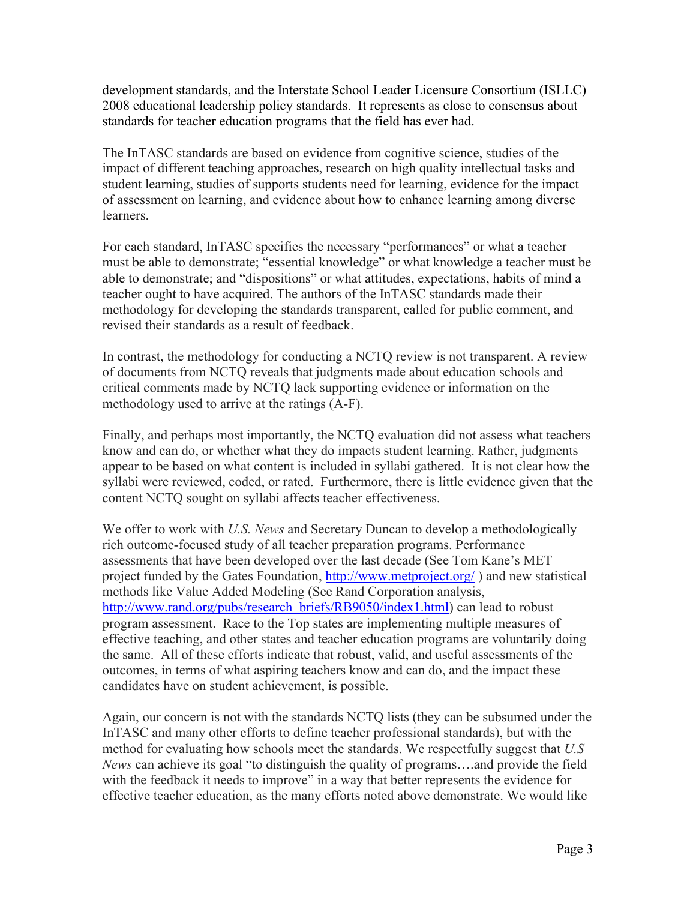development standards, and the Interstate School Leader Licensure Consortium (ISLLC) 2008 educational leadership policy standards. It represents as close to consensus about standards for teacher education programs that the field has ever had.

The InTASC standards are based on evidence from cognitive science, studies of the impact of different teaching approaches, research on high quality intellectual tasks and student learning, studies of supports students need for learning, evidence for the impact of assessment on learning, and evidence about how to enhance learning among diverse **learners** 

For each standard, InTASC specifies the necessary "performances" or what a teacher must be able to demonstrate; "essential knowledge" or what knowledge a teacher must be able to demonstrate; and "dispositions" or what attitudes, expectations, habits of mind a teacher ought to have acquired. The authors of the InTASC standards made their methodology for developing the standards transparent, called for public comment, and revised their standards as a result of feedback.

In contrast, the methodology for conducting a NCTQ review is not transparent. A review of documents from NCTQ reveals that judgments made about education schools and critical comments made by NCTQ lack supporting evidence or information on the methodology used to arrive at the ratings (A-F).

Finally, and perhaps most importantly, the NCTQ evaluation did not assess what teachers know and can do, or whether what they do impacts student learning. Rather, judgments appear to be based on what content is included in syllabi gathered. It is not clear how the syllabi were reviewed, coded, or rated. Furthermore, there is little evidence given that the content NCTQ sought on syllabi affects teacher effectiveness.

We offer to work with *U.S. News* and Secretary Duncan to develop a methodologically rich outcome-focused study of all teacher preparation programs. Performance assessments that have been developed over the last decade (See Tom Kane's MET project funded by the Gates Foundation, http://www.metproject.org/) and new statistical methods like Value Added Modeling (See Rand Corporation analysis, http://www.rand.org/pubs/research\_briefs/RB9050/index1.html) can lead to robust program assessment. Race to the Top states are implementing multiple measures of effective teaching, and other states and teacher education programs are voluntarily doing the same. All of these efforts indicate that robust, valid, and useful assessments of the outcomes, in terms of what aspiring teachers know and can do, and the impact these candidates have on student achievement, is possible.

Again, our concern is not with the standards NCTQ lists (they can be subsumed under the InTASC and many other efforts to define teacher professional standards), but with the method for evaluating how schools meet the standards. We respectfully suggest that *U.S News* can achieve its goal "to distinguish the quality of programs….and provide the field with the feedback it needs to improve" in a way that better represents the evidence for effective teacher education, as the many efforts noted above demonstrate. We would like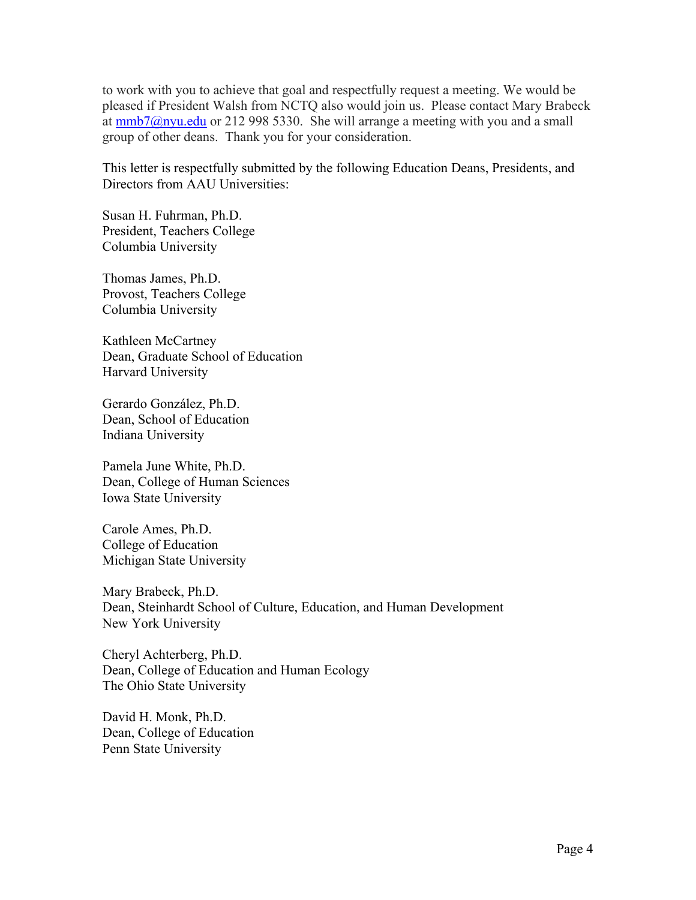to work with you to achieve that goal and respectfully request a meeting. We would be pleased if President Walsh from NCTQ also would join us. Please contact Mary Brabeck at  $mmb7@nyu.edu$  or 212 998 5330. She will arrange a meeting with you and a small group of other deans. Thank you for your consideration.

This letter is respectfully submitted by the following Education Deans, Presidents, and Directors from AAU Universities:

Susan H. Fuhrman, Ph.D. President, Teachers College Columbia University

Thomas James, Ph.D. Provost, Teachers College Columbia University

Kathleen McCartney Dean, Graduate School of Education Harvard University

Gerardo González, Ph.D. Dean, School of Education Indiana University

Pamela June White, Ph.D. Dean, College of Human Sciences Iowa State University

Carole Ames, Ph.D. College of Education Michigan State University

Mary Brabeck, Ph.D. Dean, Steinhardt School of Culture, Education, and Human Development New York University

Cheryl Achterberg, Ph.D. Dean, College of Education and Human Ecology The Ohio State University

David H. Monk, Ph.D. Dean, College of Education Penn State University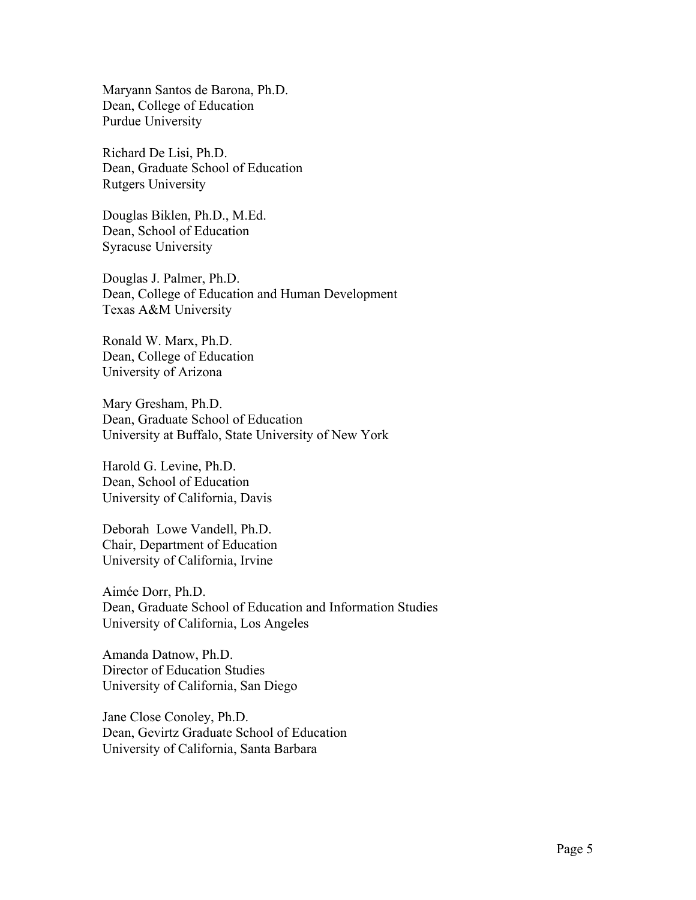Maryann Santos de Barona, Ph.D. Dean, College of Education Purdue University

Richard De Lisi, Ph.D. Dean, Graduate School of Education Rutgers University

Douglas Biklen, Ph.D., M.Ed. Dean, School of Education Syracuse University

Douglas J. Palmer, Ph.D. Dean, College of Education and Human Development Texas A&M University

Ronald W. Marx, Ph.D. Dean, College of Education University of Arizona

Mary Gresham, Ph.D. Dean, Graduate School of Education University at Buffalo, State University of New York

Harold G. Levine, Ph.D. Dean, School of Education University of California, Davis

Deborah Lowe Vandell, Ph.D. Chair, Department of Education University of California, Irvine

Aimée Dorr, Ph.D. Dean, Graduate School of Education and Information Studies University of California, Los Angeles

Amanda Datnow, Ph.D. Director of Education Studies University of California, San Diego

Jane Close Conoley, Ph.D. Dean, Gevirtz Graduate School of Education University of California, Santa Barbara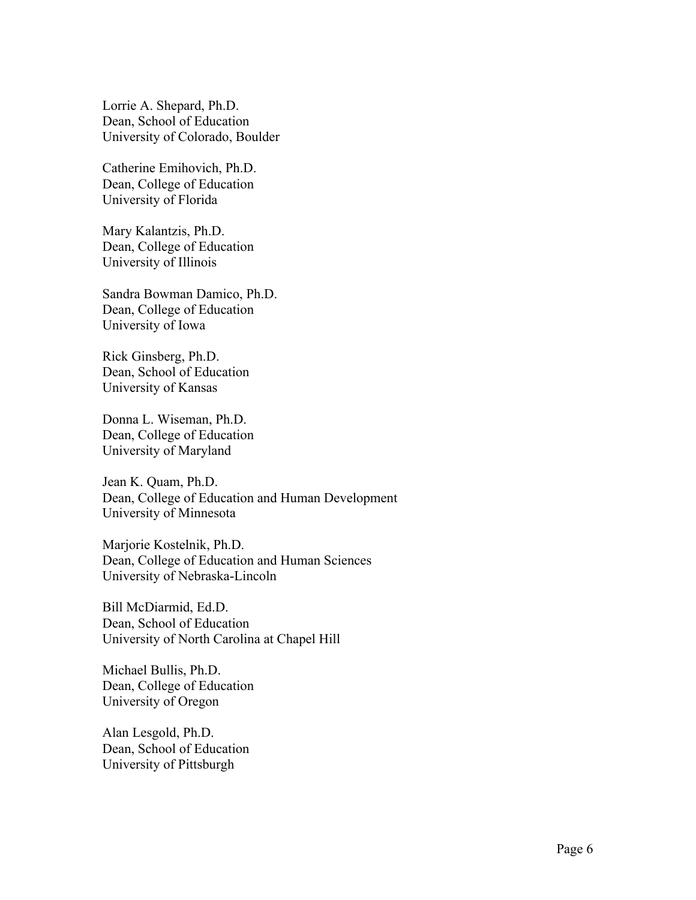Lorrie A. Shepard, Ph.D. Dean, School of Education University of Colorado, Boulder

Catherine Emihovich, Ph.D. Dean, College of Education University of Florida

Mary Kalantzis, Ph.D. Dean, College of Education University of Illinois

Sandra Bowman Damico, Ph.D. Dean, College of Education University of Iowa

Rick Ginsberg, Ph.D. Dean, School of Education University of Kansas

Donna L. Wiseman, Ph.D. Dean, College of Education University of Maryland

Jean K. Quam, Ph.D. Dean, College of Education and Human Development University of Minnesota

Marjorie Kostelnik, Ph.D. Dean, College of Education and Human Sciences University of Nebraska-Lincoln

Bill McDiarmid, Ed.D. Dean, School of Education University of North Carolina at Chapel Hill

Michael Bullis, Ph.D. Dean, College of Education University of Oregon

Alan Lesgold, Ph.D. Dean, School of Education University of Pittsburgh